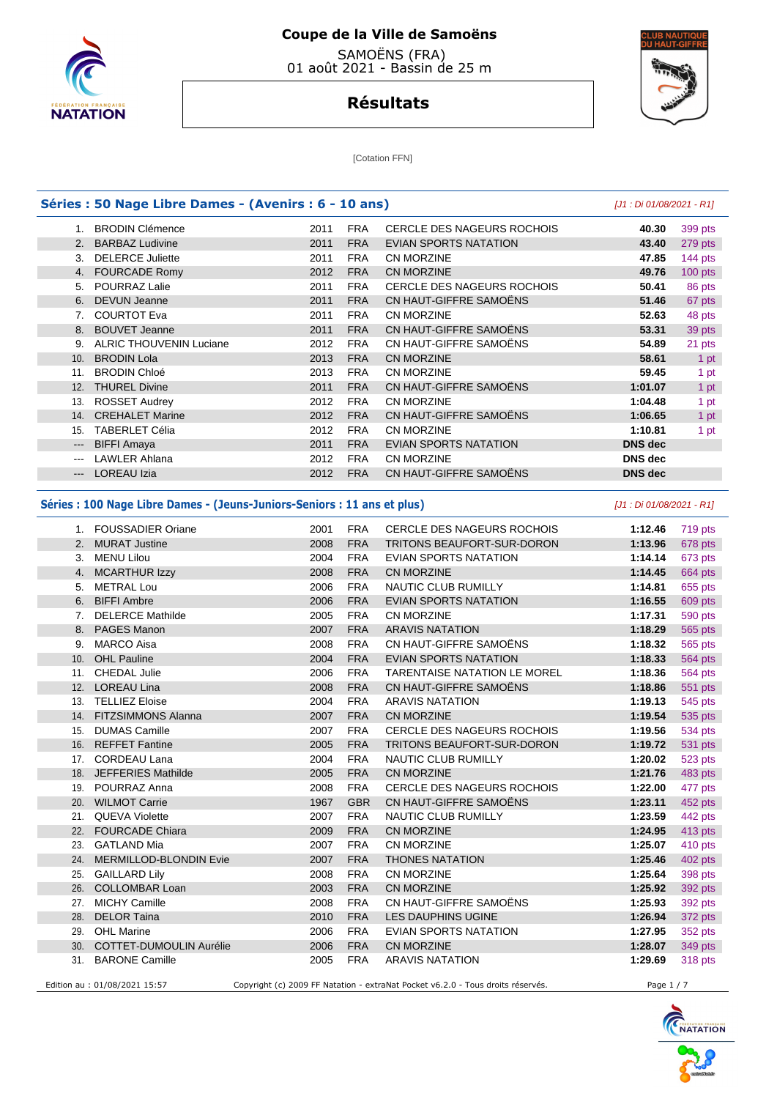

 SAMOËNS (FRA) 01 août 2021 - Bassin de 25 m



# **Résultats**

[Cotation FFN]

|                            |                                                                          | Séries : 50 Nage Libre Dames - (Avenirs : 6 - 10 ans) |                          |                                            | [J1 : Di 01/08/2021 - R1] |                                                                                                                                                                      |
|----------------------------|--------------------------------------------------------------------------|-------------------------------------------------------|--------------------------|--------------------------------------------|---------------------------|----------------------------------------------------------------------------------------------------------------------------------------------------------------------|
|                            | 1. BRODIN Clémence                                                       | 2011                                                  | <b>FRA</b>               | <b>CERCLE DES NAGEURS ROCHOIS</b>          | 40.30                     | 399 pts                                                                                                                                                              |
| 2.                         | <b>BARBAZ Ludivine</b>                                                   | 2011                                                  | <b>FRA</b>               | <b>EVIAN SPORTS NATATION</b>               | 43.40                     | 279 pts                                                                                                                                                              |
| 3.                         | <b>DELERCE Juliette</b>                                                  | 2011                                                  | <b>FRA</b>               | CN MORZINE                                 | 47.85                     | 144 pts                                                                                                                                                              |
|                            | 4. FOURCADE Romy                                                         | 2012                                                  | <b>FRA</b>               | <b>CN MORZINE</b>                          | 49.76                     | $100$ pts                                                                                                                                                            |
|                            | 5. POURRAZ Lalie                                                         | 2011                                                  | <b>FRA</b>               | <b>CERCLE DES NAGEURS ROCHOIS</b>          | 50.41                     | 86 pts                                                                                                                                                               |
| 6.                         | <b>DEVUN Jeanne</b>                                                      | 2011                                                  | <b>FRA</b>               | CN HAUT-GIFFRE SAMOENS                     | 51.46                     | 67 pts                                                                                                                                                               |
| 7.                         | <b>COURTOT Eva</b>                                                       | 2011                                                  | <b>FRA</b>               | <b>CN MORZINE</b>                          | 52.63                     | 48 pts                                                                                                                                                               |
| 8.                         | <b>BOUVET Jeanne</b>                                                     | 2011                                                  | <b>FRA</b>               | CN HAUT-GIFFRE SAMOËNS                     | 53.31                     | 39 pts                                                                                                                                                               |
| 9.                         | <b>ALRIC THOUVENIN Luciane</b>                                           | 2012                                                  | <b>FRA</b>               | CN HAUT-GIFFRE SAMOËNS                     | 54.89                     | 21 pts                                                                                                                                                               |
| 10.                        | <b>BRODIN Lola</b>                                                       | 2013                                                  | <b>FRA</b>               | <b>CN MORZINE</b>                          | 58.61                     |                                                                                                                                                                      |
| 11.                        | <b>BRODIN Chloé</b>                                                      | 2013                                                  | <b>FRA</b>               | CN MORZINE                                 | 59.45                     |                                                                                                                                                                      |
|                            | 12. THUREL Divine                                                        | 2011                                                  | <b>FRA</b>               | CN HAUT-GIFFRE SAMOËNS                     | 1:01.07                   |                                                                                                                                                                      |
| 13.                        | <b>ROSSET Audrey</b>                                                     | 2012                                                  | <b>FRA</b>               | CN MORZINE                                 | 1:04.48                   |                                                                                                                                                                      |
| 14.                        | <b>CREHALET Marine</b>                                                   | 2012                                                  | <b>FRA</b>               | CN HAUT-GIFFRE SAMOËNS                     | 1:06.65                   |                                                                                                                                                                      |
| 15.                        | <b>TABERLET Célia</b>                                                    | 2012                                                  | <b>FRA</b>               | CN MORZINE                                 | 1:10.81                   |                                                                                                                                                                      |
| $\hspace{0.05cm} \ldots$   | <b>BIFFI Amaya</b>                                                       | 2011                                                  | <b>FRA</b>               | <b>EVIAN SPORTS NATATION</b>               | <b>DNS dec</b>            |                                                                                                                                                                      |
| $\qquad \qquad \text{---}$ | <b>LAWLER Ahlana</b>                                                     | 2012                                                  | <b>FRA</b>               | CN MORZINE                                 | <b>DNS</b> dec            |                                                                                                                                                                      |
| $\qquad \qquad - -$        | <b>LOREAU Izia</b>                                                       | 2012                                                  | <b>FRA</b>               | CN HAUT-GIFFRE SAMOENS                     | <b>DNS</b> dec            |                                                                                                                                                                      |
|                            | Séries : 100 Nage Libre Dames - (Jeuns-Juniors-Seniors : 11 ans et plus) |                                                       |                          |                                            | [J1 : Di 01/08/2021 - R1] |                                                                                                                                                                      |
|                            | 1. FOUSSADIER Oriane                                                     | 2001                                                  | <b>FRA</b>               | <b>CERCLE DES NAGEURS ROCHOIS</b>          | 1:12.46                   |                                                                                                                                                                      |
|                            |                                                                          |                                                       |                          |                                            |                           | 719 pts                                                                                                                                                              |
|                            | 2. MURAT Justine                                                         | 2008                                                  | <b>FRA</b><br><b>FRA</b> | TRITONS BEAUFORT-SUR-DORON                 | 1:13.96                   | 678 pts                                                                                                                                                              |
|                            | 3. MENU Lilou                                                            | 2004                                                  |                          | EVIAN SPORTS NATATION                      | 1:14.14                   | 673 pts                                                                                                                                                              |
| 4.                         | <b>MCARTHUR Izzy</b>                                                     | 2008                                                  | <b>FRA</b>               | <b>CN MORZINE</b>                          | 1:14.45                   | 664 pts                                                                                                                                                              |
| 5.                         | <b>METRAL Lou</b>                                                        | 2006                                                  | <b>FRA</b>               | NAUTIC CLUB RUMILLY                        | 1:14.81                   | 655 pts                                                                                                                                                              |
| 6.                         | <b>BIFFI Ambre</b>                                                       | 2006                                                  | <b>FRA</b>               | <b>EVIAN SPORTS NATATION</b>               | 1:16.55                   | 609 pts                                                                                                                                                              |
|                            |                                                                          |                                                       |                          |                                            |                           |                                                                                                                                                                      |
| 7.                         | <b>DELERCE Mathilde</b>                                                  | 2005                                                  | <b>FRA</b>               | CN MORZINE                                 | 1:17.31                   |                                                                                                                                                                      |
| 8.                         | <b>PAGES Manon</b>                                                       | 2007                                                  | <b>FRA</b>               | <b>ARAVIS NATATION</b>                     | 1:18.29                   |                                                                                                                                                                      |
| 9.                         | MARCO Aisa                                                               | 2008                                                  | <b>FRA</b>               | CN HAUT-GIFFRE SAMOËNS                     | 1:18.32                   |                                                                                                                                                                      |
| 10.                        | <b>OHL Pauline</b>                                                       | 2004                                                  | <b>FRA</b>               | <b>EVIAN SPORTS NATATION</b>               | 1:18.33                   |                                                                                                                                                                      |
| 11.                        | <b>CHEDAL Julie</b>                                                      | 2006                                                  | <b>FRA</b>               | <b>TARENTAISE NATATION LE MOREL</b>        | 1:18.36                   |                                                                                                                                                                      |
| 12.                        | <b>LOREAU Lina</b>                                                       | 2008                                                  | <b>FRA</b>               | CN HAUT-GIFFRE SAMOENS                     | 1:18.86                   |                                                                                                                                                                      |
|                            | 13. TELLIEZ Eloise                                                       | 2004                                                  | <b>FRA</b>               | <b>ARAVIS NATATION</b>                     | 1:19.13                   |                                                                                                                                                                      |
| 14.                        | <b>FITZSIMMONS Alanna</b>                                                | 2007                                                  | <b>FRA</b>               | <b>CN MORZINE</b>                          | 1:19.54                   |                                                                                                                                                                      |
| 15.                        | <b>DUMAS Camille</b>                                                     | 2007                                                  | <b>FRA</b>               | <b>CERCLE DES NAGEURS ROCHOIS</b>          | 1:19.56                   |                                                                                                                                                                      |
| 16.                        | <b>REFFET Fantine</b>                                                    | 2005                                                  | <b>FRA</b>               | TRITONS BEAUFORT-SUR-DORON                 | 1:19.72                   |                                                                                                                                                                      |
| 17.                        | <b>CORDEAU Lana</b>                                                      | 2004                                                  | <b>FRA</b>               | NAUTIC CLUB RUMILLY                        | 1:20.02                   |                                                                                                                                                                      |
|                            | 18. JEFFERIES Mathilde                                                   | 2005                                                  | <b>FRA</b>               | <b>CN MORZINE</b>                          | 1:21.76                   |                                                                                                                                                                      |
|                            | 19. POURRAZ Anna                                                         | 2008                                                  | FRA                      | CERCLE DES NAGEURS ROCHOIS                 | 1:22.00                   |                                                                                                                                                                      |
|                            | 20. WILMOT Carrie                                                        | 1967                                                  | <b>GBR</b>               | CN HAUT-GIFFRE SAMOENS                     | 1:23.11                   | 590 pts<br>565 pts<br>565 pts<br><b>564 pts</b><br><b>564 pts</b><br>551 pts<br>545 pts<br>535 pts<br>534 pts<br>531 pts<br>523 pts<br>483 pts<br>477 pts<br>452 pts |
|                            | 21. QUEVA Violette                                                       | 2007                                                  | <b>FRA</b>               | NAUTIC CLUB RUMILLY                        | 1:23.59                   |                                                                                                                                                                      |
|                            | 22. FOURCADE Chiara                                                      | 2009                                                  | <b>FRA</b>               | CN MORZINE                                 | 1:24.95                   |                                                                                                                                                                      |
|                            | 23. GATLAND Mia                                                          | 2007                                                  | <b>FRA</b>               | CN MORZINE                                 | 1:25.07                   |                                                                                                                                                                      |
|                            | 24. MERMILLOD-BLONDIN Evie                                               | 2007                                                  | <b>FRA</b>               | <b>THONES NATATION</b>                     | 1:25.46                   |                                                                                                                                                                      |
|                            | 25. GAILLARD Lily                                                        | 2008                                                  | <b>FRA</b>               | CN MORZINE                                 | 1:25.64                   |                                                                                                                                                                      |
|                            |                                                                          |                                                       |                          |                                            |                           |                                                                                                                                                                      |
|                            | 26. COLLOMBAR Loan                                                       | 2003                                                  | <b>FRA</b>               | CN MORZINE                                 | 1:25.92                   |                                                                                                                                                                      |
|                            | 27. MICHY Camille                                                        | 2008                                                  | <b>FRA</b>               | CN HAUT-GIFFRE SAMOËNS                     | 1:25.93                   | 442 pts<br>413 pts<br>410 pts<br>402 pts<br>398 pts<br>392 pts<br>392 pts                                                                                            |
|                            | 28. DELOR Taina                                                          | 2010                                                  | <b>FRA</b>               | LES DAUPHINS UGINE                         | 1:26.94                   |                                                                                                                                                                      |
|                            | 29. OHL Marine<br>30. COTTET-DUMOULIN Aurélie                            | 2006<br>2006                                          | FRA<br><b>FRA</b>        | EVIAN SPORTS NATATION<br><b>CN MORZINE</b> | 1:27.95<br>1:28.07        | 372 pts<br>352 pts<br>349 pts                                                                                                                                        |

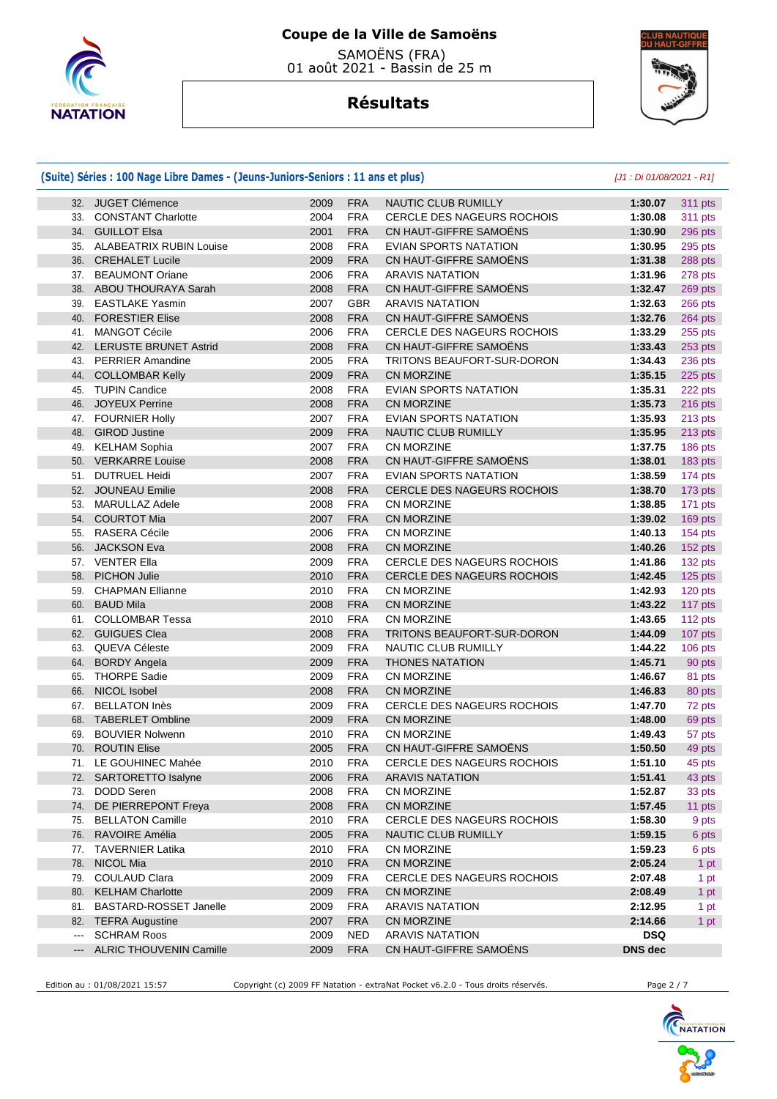

 SAMOËNS (FRA) 01 août 2021 - Bassin de 25 m

# **Résultats**



|                      | (Suite) Séries : 100 Nage Libre Dames - (Jeuns-Juniors-Seniors : 11 ans et plus) |      |            |                                   | [J1 : Di 01/08/2021 - R1] |                |
|----------------------|----------------------------------------------------------------------------------|------|------------|-----------------------------------|---------------------------|----------------|
|                      | 32. JUGET Clémence                                                               | 2009 | <b>FRA</b> | NAUTIC CLUB RUMILLY               | 1:30.07                   | 311 pts        |
|                      | 33. CONSTANT Charlotte                                                           | 2004 | <b>FRA</b> | <b>CERCLE DES NAGEURS ROCHOIS</b> | 1:30.08                   | <b>311 pts</b> |
|                      | 34. GUILLOT Elsa                                                                 | 2001 | <b>FRA</b> | CN HAUT-GIFFRE SAMOENS            | 1:30.90                   | 296 pts        |
|                      | 35. ALABEATRIX RUBIN Louise                                                      | 2008 | <b>FRA</b> | EVIAN SPORTS NATATION             | 1:30.95                   | 295 pts        |
|                      | 36. CREHALET Lucile                                                              | 2009 | <b>FRA</b> | CN HAUT-GIFFRE SAMOENS            | 1:31.38                   | 288 pts        |
|                      | 37. BEAUMONT Oriane                                                              | 2006 | <b>FRA</b> | <b>ARAVIS NATATION</b>            | 1:31.96                   | 278 pts        |
|                      | 38. ABOU THOURAYA Sarah                                                          | 2008 | <b>FRA</b> | CN HAUT-GIFFRE SAMOËNS            | 1:32.47                   | 269 pts        |
|                      | 39. EASTLAKE Yasmin                                                              | 2007 | <b>GBR</b> | <b>ARAVIS NATATION</b>            | 1:32.63                   | 266 pts        |
| 40.                  | <b>FORESTIER Elise</b>                                                           | 2008 | <b>FRA</b> | CN HAUT-GIFFRE SAMOENS            | 1:32.76                   | 264 pts        |
| 41.                  | <b>MANGOT Cécile</b>                                                             | 2006 | <b>FRA</b> | <b>CERCLE DES NAGEURS ROCHOIS</b> | 1:33.29                   | 255 pts        |
|                      | 42. LERUSTE BRUNET Astrid                                                        | 2008 | <b>FRA</b> | CN HAUT-GIFFRE SAMOENS            | 1:33.43                   | 253 pts        |
|                      | 43. PERRIER Amandine                                                             | 2005 | <b>FRA</b> | TRITONS BEAUFORT-SUR-DORON        | 1:34.43                   | 236 pts        |
|                      | 44. COLLOMBAR Kelly                                                              | 2009 | <b>FRA</b> | <b>CN MORZINE</b>                 | 1:35.15                   | 225 pts        |
|                      | 45. TUPIN Candice                                                                | 2008 | <b>FRA</b> | EVIAN SPORTS NATATION             | 1:35.31                   | 222 pts        |
|                      | 46. JOYEUX Perrine                                                               | 2008 | <b>FRA</b> | <b>CN MORZINE</b>                 | 1:35.73                   | 216 pts        |
|                      | 47. FOURNIER Holly                                                               | 2007 | <b>FRA</b> | EVIAN SPORTS NATATION             | 1:35.93                   | 213 pts        |
|                      | 48. GIROD Justine                                                                | 2009 | <b>FRA</b> | NAUTIC CLUB RUMILLY               | 1:35.95                   | 213 pts        |
|                      | 49. KELHAM Sophia                                                                | 2007 | <b>FRA</b> | <b>CN MORZINE</b>                 | 1:37.75                   | 186 pts        |
|                      | 50. VERKARRE Louise                                                              | 2008 | <b>FRA</b> | CN HAUT-GIFFRE SAMOËNS            | 1:38.01                   | 183 pts        |
|                      | 51. DUTRUEL Heidi                                                                | 2007 | <b>FRA</b> | EVIAN SPORTS NATATION             | 1:38.59                   | 174 pts        |
|                      | 52. JOUNEAU Emilie                                                               | 2008 | <b>FRA</b> | CERCLE DES NAGEURS ROCHOIS        | 1:38.70                   | 173 pts        |
| 53.                  | <b>MARULLAZ Adele</b>                                                            | 2008 | <b>FRA</b> | CN MORZINE                        | 1:38.85                   | 171 pts        |
|                      | 54. COURTOT Mia                                                                  | 2007 | <b>FRA</b> | CN MORZINE                        | 1:39.02                   | 169 pts        |
|                      | 55. RASERA Cécile                                                                | 2006 | <b>FRA</b> | CN MORZINE                        | 1:40.13                   | 154 pts        |
|                      | 56. JACKSON Eva                                                                  | 2008 | <b>FRA</b> | <b>CN MORZINE</b>                 | 1:40.26                   | 152 pts        |
|                      | 57. VENTER Ella                                                                  | 2009 | <b>FRA</b> | CERCLE DES NAGEURS ROCHOIS        | 1:41.86                   | 132 pts        |
| 58.                  | <b>PICHON Julie</b>                                                              | 2010 | <b>FRA</b> | CERCLE DES NAGEURS ROCHOIS        | 1:42.45                   | 125 pts        |
| 59.                  | <b>CHAPMAN Ellianne</b>                                                          | 2010 | <b>FRA</b> | CN MORZINE                        | 1:42.93                   | 120 pts        |
|                      | 60. BAUD Mila                                                                    | 2008 | <b>FRA</b> | CN MORZINE                        | 1:43.22                   | 117 pts        |
|                      | 61. COLLOMBAR Tessa                                                              | 2010 | <b>FRA</b> | <b>CN MORZINE</b>                 | 1:43.65                   | 112 pts        |
|                      | 62. GUIGUES Clea                                                                 | 2008 | <b>FRA</b> | TRITONS BEAUFORT-SUR-DORON        | 1:44.09                   | 107 pts        |
|                      | 63. QUEVA Céleste                                                                | 2009 | <b>FRA</b> | NAUTIC CLUB RUMILLY               | 1:44.22                   | 106 pts        |
| 64.                  | <b>BORDY Angela</b>                                                              | 2009 | <b>FRA</b> | <b>THONES NATATION</b>            | 1:45.71                   | 90 pts         |
| 65.                  | <b>THORPE Sadie</b>                                                              | 2009 | <b>FRA</b> | CN MORZINE                        | 1:46.67                   | 81 pts         |
|                      | 66. NICOL Isobel                                                                 | 2008 | <b>FRA</b> | <b>CN MORZINE</b>                 | 1:46.83                   | 80 pts         |
|                      | 67. BELLATON Inès                                                                | 2009 | <b>FRA</b> | <b>CERCLE DES NAGEURS ROCHOIS</b> | 1:47.70                   | 72 pts         |
|                      | 68. TABERLET Ombline                                                             | 2009 | <b>FRA</b> | <b>CN MORZINE</b>                 | 1:48.00                   | 69 pts         |
| 69.                  | <b>BOUVIER Nolwenn</b>                                                           | 2010 | <b>FRA</b> | CN MORZINE                        | 1:49.43                   | 57 pts         |
|                      | 70. ROUTIN Elise                                                                 | 2005 | <b>FRA</b> | CN HAUT-GIFFRE SAMOËNS            | 1:50.50                   | 49 pts         |
|                      | 71. LE GOUHINEC Mahée                                                            | 2010 | FRA        | CERCLE DES NAGEURS ROCHOIS        | 1:51.10                   | 45 pts         |
|                      | 72. SARTORETTO Isalyne                                                           | 2006 | <b>FRA</b> | <b>ARAVIS NATATION</b>            | 1:51.41                   | 43 pts         |
|                      | 73. DODD Seren                                                                   | 2008 | <b>FRA</b> | CN MORZINE                        | 1:52.87                   | 33 pts         |
|                      | 74. DE PIERREPONT Freya                                                          | 2008 | <b>FRA</b> | <b>CN MORZINE</b>                 | 1:57.45                   | 11 pts         |
|                      | 75. BELLATON Camille                                                             | 2010 | <b>FRA</b> | CERCLE DES NAGEURS ROCHOIS        | 1:58.30                   | 9 pts          |
|                      | 76. RAVOIRE Amélia                                                               | 2005 | <b>FRA</b> | <b>NAUTIC CLUB RUMILLY</b>        | 1:59.15                   | 6 pts          |
|                      | 77. TAVERNIER Latika                                                             | 2010 | <b>FRA</b> | CN MORZINE                        | 1:59.23                   | 6 pts          |
|                      | 78. NICOL Mia                                                                    | 2010 | <b>FRA</b> | CN MORZINE                        | 2:05.24                   | 1 pt           |
|                      | 79. COULAUD Clara                                                                | 2009 | <b>FRA</b> | CERCLE DES NAGEURS ROCHOIS        | 2:07.48                   | 1 pt           |
|                      | 80. KELHAM Charlotte                                                             | 2009 | <b>FRA</b> | <b>CN MORZINE</b>                 | 2:08.49                   | 1 pt           |
|                      | 81. BASTARD-ROSSET Janelle                                                       | 2009 | <b>FRA</b> | <b>ARAVIS NATATION</b>            | 2:12.95                   | 1 pt           |
|                      | 82. TEFRA Augustine                                                              | 2007 | <b>FRA</b> | <b>CN MORZINE</b>                 | 2:14.66                   | 1 pt           |
| $\sim$ $\sim$ $\sim$ | <b>SCHRAM Roos</b>                                                               | 2009 | NED        | <b>ARAVIS NATATION</b>            | <b>DSQ</b>                |                |
|                      | --- ALRIC THOUVENIN Camille                                                      | 2009 | <b>FRA</b> | CN HAUT-GIFFRE SAMOËNS            | <b>DNS</b> dec            |                |

Edition au : 01/08/2021 15:57 Copyright (c) 2009 FF Natation - extraNat Pocket v6.2.0 - Tous droits réservés. Page 2 / 7

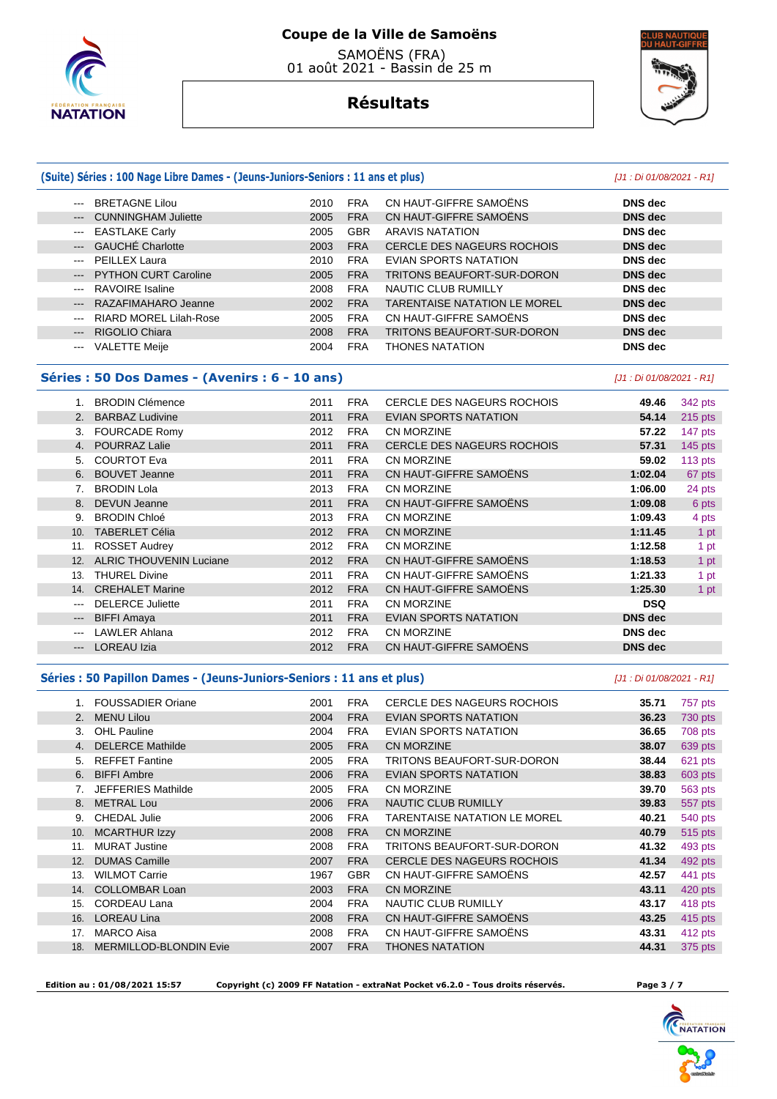

 SAMOËNS (FRA) 01 août 2021 - Bassin de 25 m



# **Résultats**

### **(Suite) Séries : 100 Nage Libre Dames - (Jeuns-Juniors-Seniors : 11 ans et plus)** [J1 : Di 01/08/2021 - R1]

#### --- BRETAGNE Lilou 2010 FRA CN HAUT-GIFFRE SAMOËNS **DNS dec**  --- CUNNINGHAM Juliette 2005 FRA CN HAUT-GIFFRE SAMOËNS **DNS dec**  --- EASTLAKE Carly 2005 GBR ARAVIS NATATION **DNS dec**  --- GAUCHÉ Charlotte 2003 FRA CERCLE DES NAGEURS ROCHOIS **DNS dec**  --- PEILLEX Laura 2010 FRA EVIAN SPORTS NATATION **DNS dec**  --- PYTHON CURT Caroline 2005 FRA TRITONS BEAUFORT-SUR-DORON **DNS dec**  --- RAVOIRE Isaline 2008 FRA NAUTIC CLUB RUMILLY **DNS dec**  --- RAZAFIMAHARO Jeanne 2002 FRA TARENTAISE NATATION LE MOREL **DNS dec**  --- RIARD MOREL Lilah-Rose 2005 FRA CN HAUT-GIFFRE SAMOËNS **DNS dec**  --- RIGOLIO Chiara 2008 FRA TRITONS BEAUFORT-SUR-DORON **DNS dec**  --- VALETTE Meije 2004 FRA THONES NATATION **DNS dec**

#### **Séries : 50 Dos Dames - (Avenirs : 6 - 10 ans)** [J1 : Di 01/08/2021 - R1]

|       | <b>BRODIN Clémence</b>         | 2011 | <b>FRA</b> | CERCLE DES NAGEURS ROCHOIS        | 49.46          | 342 pts   |
|-------|--------------------------------|------|------------|-----------------------------------|----------------|-----------|
|       | <b>BARBAZ Ludivine</b>         | 2011 | <b>FRA</b> | <b>EVIAN SPORTS NATATION</b>      | 54.14          | $215$ pts |
| 3.    | <b>FOURCADE Romy</b>           | 2012 | <b>FRA</b> | <b>CN MORZINE</b>                 | 57.22          | 147 pts   |
| 4.    | <b>POURRAZ Lalie</b>           | 2011 | <b>FRA</b> | <b>CERCLE DES NAGEURS ROCHOIS</b> | 57.31          | $145$ pts |
| 5.    | <b>COURTOT Eva</b>             | 2011 | <b>FRA</b> | <b>CN MORZINE</b>                 | 59.02          | 113 pts   |
| 6.    | <b>BOUVET Jeanne</b>           | 2011 | <b>FRA</b> | CN HAUT-GIFFRE SAMOËNS            | 1:02.04        | 67 pts    |
|       | <b>BRODIN Lola</b>             | 2013 | <b>FRA</b> | <b>CN MORZINE</b>                 | 1:06.00        | 24 pts    |
| 8.    | DEVUN Jeanne                   | 2011 | <b>FRA</b> | CN HAUT-GIFFRE SAMOËNS            | 1:09.08        | 6 pts     |
| 9.    | <b>BRODIN Chloé</b>            | 2013 | <b>FRA</b> | <b>CN MORZINE</b>                 | 1:09.43        | 4 pts     |
| 10.   | <b>TABERLET Célia</b>          | 2012 | <b>FRA</b> | <b>CN MORZINE</b>                 | 1:11.45        | 1 pt      |
| 11.   | <b>ROSSET Audrey</b>           | 2012 | <b>FRA</b> | <b>CN MORZINE</b>                 | 1:12.58        | 1 pt      |
| 12.   | <b>ALRIC THOUVENIN Luciane</b> | 2012 | <b>FRA</b> | CN HAUT-GIFFRE SAMOËNS            | 1:18.53        | 1 pt      |
| 13.   | <b>THUREL Divine</b>           | 2011 | <b>FRA</b> | CN HAUT-GIFFRE SAMOËNS            | 1:21.33        | 1 pt      |
| 14.   | <b>CREHALET Marine</b>         | 2012 | <b>FRA</b> | CN HAUT-GIFFRE SAMOËNS            | 1:25.30        | 1 pt      |
| ---   | <b>DELERCE Juliette</b>        | 2011 | <b>FRA</b> | CN MORZINE                        | <b>DSQ</b>     |           |
| $---$ | <b>BIFFI Amaya</b>             | 2011 | <b>FRA</b> | <b>EVIAN SPORTS NATATION</b>      | <b>DNS</b> dec |           |
| $---$ | <b>LAWLER Ahlana</b>           | 2012 | <b>FRA</b> | <b>CN MORZINE</b>                 | <b>DNS</b> dec |           |
| $---$ | <b>LOREAU Izia</b>             | 2012 | <b>FRA</b> | CN HAUT-GIFFRE SAMOËNS            | <b>DNS</b> dec |           |
|       |                                |      |            |                                   |                |           |

#### Séries : 50 Papillon Dames - (Jeuns-Juniors-Seniors : 11 ans et plus) *[J1 : Di 01/08/2021 - R1]*

|     | <b>FOUSSADIER Oriane</b>      | 2001 | <b>FRA</b> | CERCLE DES NAGEURS ROCHOIS          | 35.71 | 757 pts |
|-----|-------------------------------|------|------------|-------------------------------------|-------|---------|
| 2.  | <b>MENU Lilou</b>             | 2004 | <b>FRA</b> | <b>EVIAN SPORTS NATATION</b>        | 36.23 | 730 pts |
| 3.  | <b>OHL Pauline</b>            | 2004 | <b>FRA</b> | EVIAN SPORTS NATATION               | 36.65 | 708 pts |
| 4.  | <b>DELERCE Mathilde</b>       | 2005 | <b>FRA</b> | <b>CN MORZINE</b>                   | 38.07 | 639 pts |
| 5.  | <b>REFFET Fantine</b>         | 2005 | <b>FRA</b> | TRITONS BEAUFORT-SUR-DORON          | 38.44 | 621 pts |
| 6.  | <b>BIFFI Ambre</b>            | 2006 | <b>FRA</b> | EVIAN SPORTS NATATION               | 38.83 | 603 pts |
| 7.  | <b>JEFFERIES Mathilde</b>     | 2005 | <b>FRA</b> | <b>CN MORZINE</b>                   | 39.70 | 563 pts |
| 8.  | <b>METRAL Lou</b>             | 2006 | <b>FRA</b> | <b>NAUTIC CLUB RUMILLY</b>          | 39.83 | 557 pts |
| 9.  | <b>CHEDAL Julie</b>           | 2006 | <b>FRA</b> | <b>TARENTAISE NATATION LE MOREL</b> | 40.21 | 540 pts |
| 10. | <b>MCARTHUR Izzy</b>          | 2008 | <b>FRA</b> | <b>CN MORZINE</b>                   | 40.79 | 515 pts |
| 11. | <b>MURAT Justine</b>          | 2008 | <b>FRA</b> | TRITONS BEAUFORT-SUR-DORON          | 41.32 | 493 pts |
| 12. | <b>DUMAS Camille</b>          | 2007 | <b>FRA</b> | <b>CERCLE DES NAGEURS ROCHOIS</b>   | 41.34 | 492 pts |
| 13. | <b>WILMOT Carrie</b>          | 1967 | <b>GBR</b> | CN HAUT-GIFFRE SAMOËNS              | 42.57 | 441 pts |
| 14. | <b>COLLOMBAR Loan</b>         | 2003 | <b>FRA</b> | <b>CN MORZINE</b>                   | 43.11 | 420 pts |
| 15. | <b>CORDEAU Lana</b>           | 2004 | <b>FRA</b> | NAUTIC CLUB RUMILLY                 | 43.17 | 418 pts |
| 16. | <b>LOREAU Lina</b>            | 2008 | <b>FRA</b> | CN HAUT-GIFFRE SAMOËNS              | 43.25 | 415 pts |
| 17. | <b>MARCO Aisa</b>             | 2008 | <b>FRA</b> | CN HAUT-GIFFRE SAMOËNS              | 43.31 | 412 pts |
| 18. | <b>MERMILLOD-BLONDIN Evie</b> | 2007 | <b>FRA</b> | <b>THONES NATATION</b>              | 44.31 | 375 pts |

Г

 **Edition au : 01/08/2021 15:57 Copyright (c) 2009 FF Natation - extraNat Pocket v6.2.0 - Tous droits réservés. Page 3 / 7** 

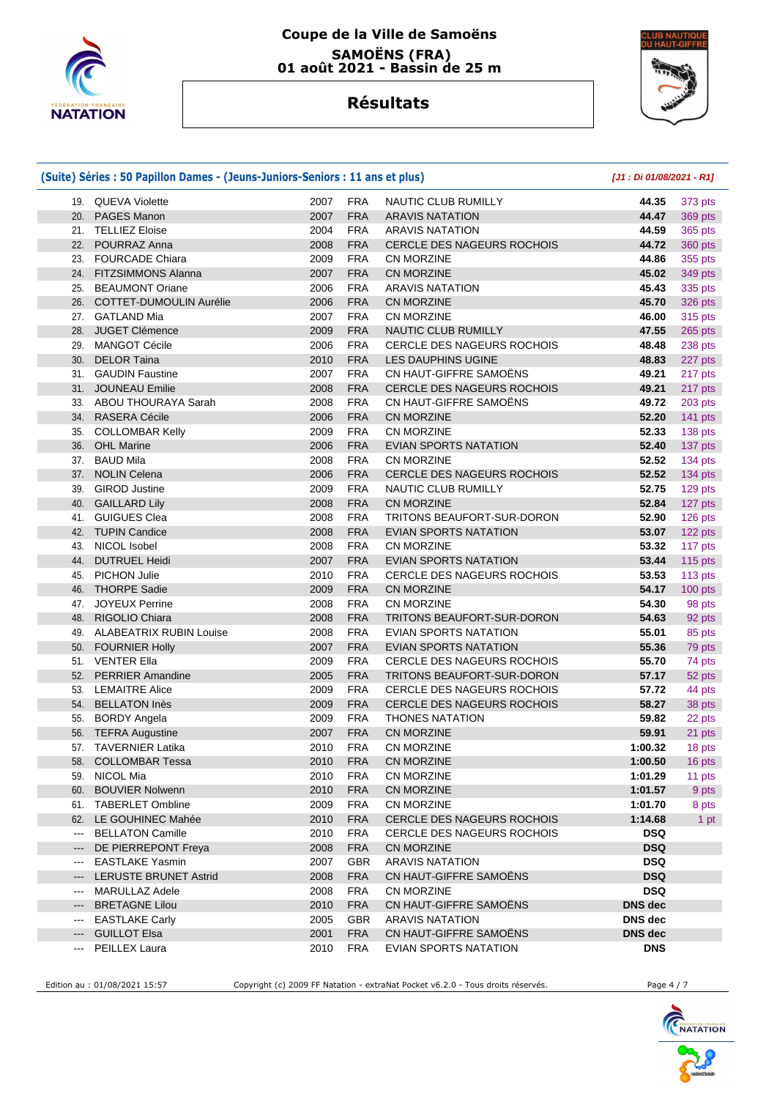

## **Coupe de la Ville de Samoëns SAMOËNS (FRA) 01 août 2021 - Bassin de 25 m**



# **Résultats**

|                              | (Suite) Séries : 50 Papillon Dames - (Jeuns-Juniors-Seniors : 11 ans et plus) |              |                          |                                                  | [J1 : Di 01/08/2021 - R1] |                |  |
|------------------------------|-------------------------------------------------------------------------------|--------------|--------------------------|--------------------------------------------------|---------------------------|----------------|--|
|                              | 19. QUEVA Violette                                                            | 2007         | <b>FRA</b>               | NAUTIC CLUB RUMILLY                              | 44.35                     | 373 pts        |  |
|                              | 20. PAGES Manon                                                               | 2007         | <b>FRA</b>               | <b>ARAVIS NATATION</b>                           | 44.47                     | 369 pts        |  |
|                              | 21. TELLIEZ Eloise                                                            | 2004         | <b>FRA</b>               | <b>ARAVIS NATATION</b>                           | 44.59                     | 365 pts        |  |
| 22.                          | POURRAZ Anna                                                                  | 2008         | <b>FRA</b>               | CERCLE DES NAGEURS ROCHOIS                       | 44.72                     | 360 pts        |  |
| 23.                          | <b>FOURCADE Chiara</b>                                                        | 2009         | <b>FRA</b>               | CN MORZINE                                       | 44.86                     | 355 pts        |  |
| 24.                          | <b>FITZSIMMONS Alanna</b>                                                     | 2007         | <b>FRA</b>               | <b>CN MORZINE</b>                                | 45.02                     | 349 pts        |  |
| 25.                          | <b>BEAUMONT Oriane</b>                                                        | 2006         | <b>FRA</b>               | <b>ARAVIS NATATION</b>                           | 45.43                     | 335 pts        |  |
| 26.                          | <b>COTTET-DUMOULIN Aurélie</b>                                                | 2006         | <b>FRA</b>               | <b>CN MORZINE</b>                                | 45.70                     | 326 pts        |  |
|                              | 27. GATLAND Mia                                                               | 2007         | <b>FRA</b>               | CN MORZINE                                       | 46.00                     | 315 pts        |  |
|                              | 28. JUGET Clémence                                                            | 2009         | <b>FRA</b>               | <b>NAUTIC CLUB RUMILLY</b>                       | 47.55                     | 265 pts        |  |
| 29.                          | <b>MANGOT Cécile</b>                                                          | 2006         | <b>FRA</b>               | <b>CERCLE DES NAGEURS ROCHOIS</b>                | 48.48                     | 238 pts        |  |
| 30.                          | <b>DELOR Taina</b>                                                            | 2010         | <b>FRA</b>               | <b>LES DAUPHINS UGINE</b>                        | 48.83                     | 227 pts        |  |
|                              | 31. GAUDIN Faustine                                                           | 2007         | <b>FRA</b>               | CN HAUT-GIFFRE SAMOENS                           | 49.21                     | 217 pts        |  |
|                              | 31. JOUNEAU Emilie                                                            | 2008         | <b>FRA</b>               | <b>CERCLE DES NAGEURS ROCHOIS</b>                | 49.21                     | 217 pts        |  |
|                              | 33. ABOU THOURAYA Sarah                                                       | 2008         | <b>FRA</b>               | CN HAUT-GIFFRE SAMOËNS                           | 49.72                     | 203 pts        |  |
|                              | 34. RASERA Cécile                                                             | 2006         | <b>FRA</b>               | <b>CN MORZINE</b>                                | 52.20                     | 141 pts        |  |
| 35.                          | <b>COLLOMBAR Kelly</b>                                                        | 2009         | <b>FRA</b>               | CN MORZINE                                       | 52.33                     | 138 pts        |  |
| 36.                          | <b>OHL Marine</b>                                                             | 2006         | <b>FRA</b>               | <b>EVIAN SPORTS NATATION</b>                     | 52.40                     | 137 pts        |  |
| 37.                          | <b>BAUD Mila</b>                                                              | 2008         | <b>FRA</b>               | CN MORZINE                                       | 52.52                     | 134 pts        |  |
|                              | 37. NOLIN Celena                                                              | 2006         | <b>FRA</b>               | <b>CERCLE DES NAGEURS ROCHOIS</b>                | 52.52                     | 134 pts        |  |
| 39.                          | <b>GIROD Justine</b>                                                          | 2009         | <b>FRA</b>               | <b>NAUTIC CLUB RUMILLY</b>                       | 52.75                     | 129 pts        |  |
| 40.                          | <b>GAILLARD Lily</b>                                                          | 2008         | <b>FRA</b>               | <b>CN MORZINE</b>                                | 52.84                     | 127 pts        |  |
| 41.                          | <b>GUIGUES Clea</b>                                                           | 2008         | <b>FRA</b>               | TRITONS BEAUFORT-SUR-DORON                       | 52.90                     | 126 pts        |  |
|                              | 42. TUPIN Candice                                                             | 2008         | <b>FRA</b>               | <b>EVIAN SPORTS NATATION</b>                     | 53.07                     | 122 pts        |  |
| 43.                          | NICOL Isobel                                                                  | 2008         | <b>FRA</b>               | <b>CN MORZINE</b>                                | 53.32                     | 117 pts        |  |
| 44.                          | <b>DUTRUEL Heidi</b>                                                          | 2007         | <b>FRA</b>               | EVIAN SPORTS NATATION                            | 53.44                     | <b>115 pts</b> |  |
| 45.                          | <b>PICHON Julie</b>                                                           | 2010         | <b>FRA</b>               | <b>CERCLE DES NAGEURS ROCHOIS</b>                | 53.53                     | 113 pts        |  |
|                              | 46. THORPE Sadie                                                              | 2009         | <b>FRA</b>               | CN MORZINE                                       | 54.17                     | 100 pts        |  |
| 47.                          | <b>JOYEUX Perrine</b>                                                         | 2008         | <b>FRA</b>               | CN MORZINE                                       | 54.30                     | 98 pts         |  |
| 48.                          | <b>RIGOLIO Chiara</b>                                                         | 2008         | <b>FRA</b>               | TRITONS BEAUFORT-SUR-DORON                       | 54.63                     | 92 pts         |  |
|                              | 49. ALABEATRIX RUBIN Louise                                                   | 2008         | <b>FRA</b>               | EVIAN SPORTS NATATION                            | 55.01                     | 85 pts         |  |
|                              | 50. FOURNIER Holly                                                            | 2007         | <b>FRA</b>               | EVIAN SPORTS NATATION                            | 55.36                     | 79 pts         |  |
|                              | 51. VENTER Ella                                                               | 2009         | <b>FRA</b>               | <b>CERCLE DES NAGEURS ROCHOIS</b>                | 55.70                     | 74 pts         |  |
|                              | 52. PERRIER Amandine                                                          | 2005         | <b>FRA</b>               | TRITONS BEAUFORT-SUR-DORON                       | 57.17                     | 52 pts         |  |
|                              | 53. LEMAITRE Alice                                                            | 2009         | <b>FRA</b>               | <b>CERCLE DES NAGEURS ROCHOIS</b>                | 57.72                     | 44 pts         |  |
|                              | 54. BELLATON Inès                                                             | 2009         | <b>FRA</b>               | <b>CERCLE DES NAGEURS ROCHOIS</b>                | 58.27                     | 38 pts         |  |
| 55.                          | <b>BORDY Angela</b>                                                           | 2009         | <b>FRA</b>               | <b>THONES NATATION</b>                           | 59.82                     | 22 pts         |  |
|                              | 56. TEFRA Augustine                                                           | 2007         | <b>FRA</b>               | <b>CN MORZINE</b>                                | 59.91                     | 21 pts         |  |
|                              | 57. TAVERNIER Latika                                                          | 2010         | <b>FRA</b>               | CN MORZINE                                       | 1:00.32                   | 18 pts         |  |
|                              | 58. COLLOMBAR Tessa                                                           | 2010         | <b>FRA</b>               | CN MORZINE                                       | 1:00.50                   | 16 pts         |  |
| 59.                          | NICOL Mia                                                                     | 2010         | <b>FRA</b>               | CN MORZINE                                       | 1:01.29                   | 11 pts         |  |
|                              | 60. BOUVIER Nolwenn                                                           | 2010         | <b>FRA</b>               | CN MORZINE                                       | 1:01.57                   | 9 pts          |  |
|                              | 61. TABERLET Ombline                                                          | 2009         | <b>FRA</b>               | CN MORZINE                                       | 1:01.70                   | 8 pts          |  |
|                              | 62. LE GOUHINEC Mahée                                                         | 2010         | <b>FRA</b>               | CERCLE DES NAGEURS ROCHOIS                       | 1:14.68                   | 1 pt           |  |
| $\scriptstyle\cdots$         | <b>BELLATON Camille</b>                                                       | 2010         | <b>FRA</b>               | CERCLE DES NAGEURS ROCHOIS                       | <b>DSQ</b>                |                |  |
| $\hspace{0.05cm} \ldots$     | DE PIERREPONT Freya                                                           | 2008         | <b>FRA</b>               | CN MORZINE                                       | <b>DSQ</b>                |                |  |
| $\qquad \qquad \textbf{---}$ | <b>EASTLAKE Yasmin</b>                                                        | 2007         | <b>GBR</b>               | <b>ARAVIS NATATION</b>                           | <b>DSQ</b>                |                |  |
| ---                          | <b>LERUSTE BRUNET Astrid</b>                                                  | 2008         | <b>FRA</b>               | CN HAUT-GIFFRE SAMOËNS                           | <b>DSQ</b>                |                |  |
| $\qquad \qquad \cdots$       | MARULLAZ Adele                                                                | 2008         | <b>FRA</b>               | CN MORZINE                                       | <b>DSQ</b>                |                |  |
| $---$                        | <b>BRETAGNE Lilou</b>                                                         | 2010<br>2005 | <b>FRA</b><br><b>GBR</b> | CN HAUT-GIFFRE SAMOËNS<br><b>ARAVIS NATATION</b> | <b>DNS</b> dec<br>DNS dec |                |  |
| $\qquad \qquad \cdots$       | <b>EASTLAKE Carly</b><br><b>GUILLOT Elsa</b>                                  | 2001         | <b>FRA</b>               | CN HAUT-GIFFRE SAMOËNS                           | DNS dec                   |                |  |
| $---$                        |                                                                               |              |                          |                                                  |                           |                |  |
| ---                          | PEILLEX Laura                                                                 | 2010         | <b>FRA</b>               | EVIAN SPORTS NATATION                            | <b>DNS</b>                |                |  |

Edition au : 01/08/2021 15:57 Copyright (c) 2009 FF Natation - extraNat Pocket v6.2.0 - Tous droits réservés. Page 4 / 7

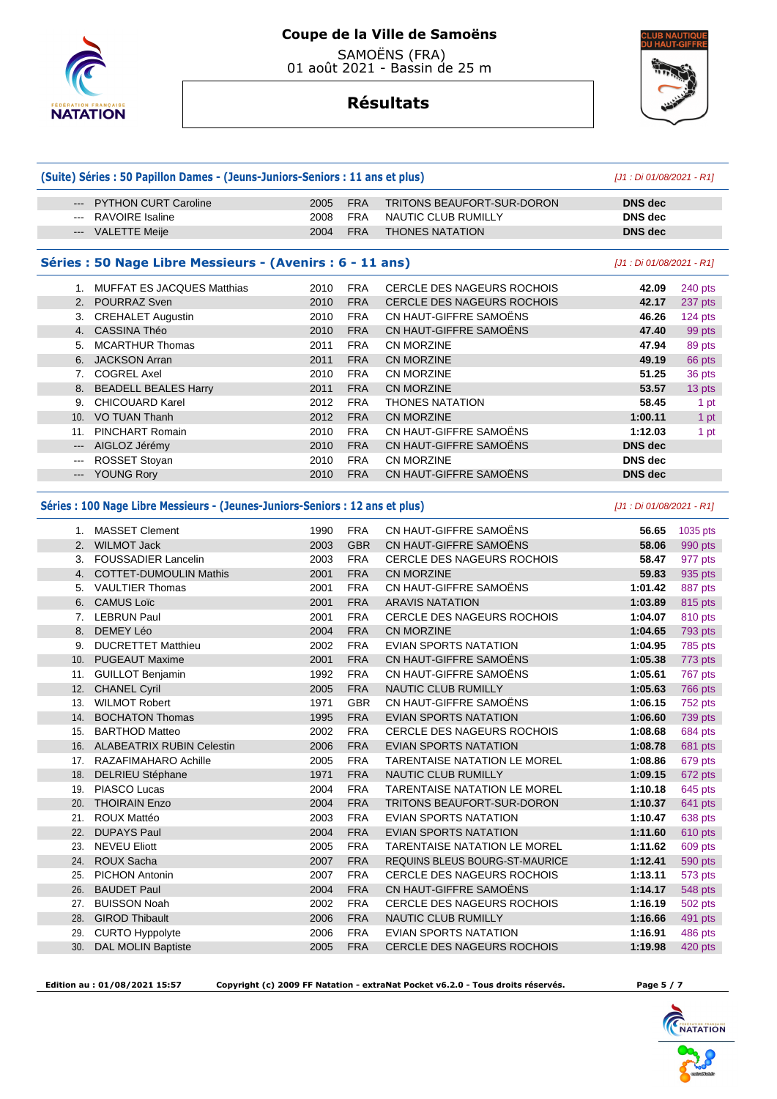

 SAMOËNS (FRA) 01 août 2021 - Bassin de 25 m



# **Résultats**

**(Suite) Séries : 50 Papillon Dames - (Jeuns-Juniors-Seniors : 11 ans et plus)** [J1 : Di 01/08/2021 - R1]

|                      | <b>PYTHON CURT Caroline</b>                                                   | 2005 | <b>FRA</b> | TRITONS BEAUFORT-SUR-DORON          | <b>DNS</b> dec            |           |
|----------------------|-------------------------------------------------------------------------------|------|------------|-------------------------------------|---------------------------|-----------|
|                      | <b>RAVOIRE</b> Isaline                                                        | 2008 | <b>FRA</b> | NAUTIC CLUB RUMILLY                 | <b>DNS</b> dec            |           |
|                      | <b>VALETTE Meije</b>                                                          | 2004 | <b>FRA</b> | <b>THONES NATATION</b>              | <b>DNS</b> dec            |           |
|                      |                                                                               |      |            |                                     |                           |           |
|                      | Séries : 50 Nage Libre Messieurs - (Avenirs : 6 - 11 ans)                     |      |            |                                     | [J1: Di 01/08/2021 - R1]  |           |
|                      | 1. MUFFAT ES JACQUES Matthias                                                 | 2010 | <b>FRA</b> | <b>CERCLE DES NAGEURS ROCHOIS</b>   | 42.09                     | 240 pts   |
|                      | 2. POURRAZ Sven                                                               | 2010 | <b>FRA</b> | CERCLE DES NAGEURS ROCHOIS          | 42.17                     | 237 pts   |
|                      | 3. CREHALET Augustin                                                          | 2010 | <b>FRA</b> | CN HAUT-GIFFRE SAMOËNS              | 46.26                     | $124$ pts |
|                      | 4. CASSINA Théo                                                               | 2010 | <b>FRA</b> | CN HAUT-GIFFRE SAMOËNS              | 47.40                     | 99 pts    |
|                      | 5. MCARTHUR Thomas                                                            | 2011 | <b>FRA</b> | CN MORZINE                          | 47.94                     | 89 pts    |
|                      | 6. JACKSON Arran                                                              | 2011 | <b>FRA</b> | <b>CN MORZINE</b>                   | 49.19                     | 66 pts    |
|                      | 7. COGREL Axel                                                                | 2010 | <b>FRA</b> | CN MORZINE                          | 51.25                     | 36 pts    |
|                      | 8. BEADELL BEALES Harry                                                       | 2011 | <b>FRA</b> | <b>CN MORZINE</b>                   | 53.57                     | 13 pts    |
| 9.                   | <b>CHICOUARD Karel</b>                                                        | 2012 | <b>FRA</b> | <b>THONES NATATION</b>              | 58.45                     | 1 pt      |
|                      | 10. VO TUAN Thanh                                                             | 2012 | <b>FRA</b> | <b>CN MORZINE</b>                   | 1:00.11                   | 1 pt      |
|                      | 11. PINCHART Romain                                                           | 2010 | <b>FRA</b> | CN HAUT-GIFFRE SAMOËNS              | 1:12.03                   | 1 pt      |
|                      | --- AIGLOZ Jérémy                                                             | 2010 | <b>FRA</b> | CN HAUT-GIFFRE SAMOËNS              | <b>DNS</b> dec            |           |
| $\sim$ $\sim$ $\sim$ | ROSSET Stoyan                                                                 | 2010 | <b>FRA</b> | CN MORZINE                          | <b>DNS</b> dec            |           |
|                      | --- YOUNG Rory                                                                | 2010 | <b>FRA</b> | CN HAUT-GIFFRE SAMOËNS              | <b>DNS</b> dec            |           |
|                      |                                                                               |      |            |                                     |                           |           |
|                      | Séries : 100 Nage Libre Messieurs - (Jeunes-Juniors-Seniors : 12 ans et plus) |      |            |                                     | [J1 : Di 01/08/2021 - R1] |           |
|                      | 1. MASSET Clement                                                             | 1990 | <b>FRA</b> | CN HAUT-GIFFRE SAMOËNS              | 56.65                     | 1035 pts  |
|                      | 2. WILMOT Jack                                                                | 2003 | <b>GBR</b> | CN HAUT-GIFFRE SAMOËNS              | 58.06                     | 990 pts   |
|                      | 3. FOUSSADIER Lancelin                                                        | 2003 | <b>FRA</b> | <b>CERCLE DES NAGEURS ROCHOIS</b>   | 58.47                     | 977 pts   |
|                      | 4. COTTET-DUMOULIN Mathis                                                     | 2001 | <b>FRA</b> | <b>CN MORZINE</b>                   | 59.83                     | 935 pts   |
|                      | 5. VAULTIER Thomas                                                            | 2001 | <b>FRA</b> | CN HAUT-GIFFRE SAMOËNS              | 1:01.42                   | 887 pts   |
|                      | 6. CAMUS Loïc                                                                 | 2001 | <b>FRA</b> | <b>ARAVIS NATATION</b>              | 1:03.89                   | 815 pts   |
|                      | 7. LEBRUN Paul                                                                | 2001 | <b>FRA</b> | <b>CERCLE DES NAGEURS ROCHOIS</b>   | 1:04.07                   | 810 pts   |
|                      | 8. DEMEY Léo                                                                  | 2004 | <b>FRA</b> | <b>CN MORZINE</b>                   | 1:04.65                   | 793 pts   |
|                      | 9. DUCRETTET Matthieu                                                         | 2002 | <b>FRA</b> | EVIAN SPORTS NATATION               | 1:04.95                   | 785 pts   |
|                      | 10. PUGEAUT Maxime                                                            | 2001 | <b>FRA</b> | <b>CN HAUT-GIFFRE SAMOENS</b>       | 1:05.38                   | 773 pts   |
|                      | 11. GUILLOT Benjamin                                                          | 1992 | <b>FRA</b> | CN HAUT-GIFFRE SAMOËNS              | 1:05.61                   | 767 pts   |
|                      | 12. CHANEL Cyril                                                              | 2005 | <b>FRA</b> | NAUTIC CLUB RUMILLY                 | 1:05.63                   | 766 pts   |
|                      | 13. WILMOT Robert                                                             | 1971 | <b>GBR</b> | CN HAUT-GIFFRE SAMOËNS              | 1:06.15                   | 752 pts   |
| 14.                  | <b>BOCHATON Thomas</b>                                                        | 1995 | <b>FRA</b> | <b>EVIAN SPORTS NATATION</b>        | 1:06.60                   | 739 pts   |
|                      | 15. BARTHOD Matteo                                                            | 2002 | <b>FRA</b> | <b>CERCLE DES NAGEURS ROCHOIS</b>   | 1:08.68                   | 684 pts   |
|                      | 16. ALABEATRIX RUBIN Celestin                                                 | 2006 | <b>FRA</b> | <b>EVIAN SPORTS NATATION</b>        | 1:08.78                   | 681 pts   |
|                      | 17. RAZAFIMAHARO Achille                                                      | 2005 | <b>FRA</b> | <b>TARENTAISE NATATION LE MOREL</b> | 1:08.86                   | 679 pts   |
|                      | 18. DELRIEU Stéphane                                                          | 1971 | <b>FRA</b> | <b>NAUTIC CLUB RUMILLY</b>          | 1:09.15                   | 672 pts   |
|                      | 19. PIASCO Lucas                                                              | 2004 | <b>FRA</b> | TARENTAISE NATATION LE MOREL        | 1:10.18                   | 645 pts   |
| 20.                  | <b>THOIRAIN Enzo</b>                                                          | 2004 | <b>FRA</b> | TRITONS BEAUFORT-SUR-DORON          | 1:10.37                   | 641 pts   |
| 21.                  | <b>ROUX Mattéo</b>                                                            | 2003 | <b>FRA</b> | EVIAN SPORTS NATATION               | 1:10.47                   | 638 pts   |
| 22.                  | <b>DUPAYS Paul</b>                                                            | 2004 | <b>FRA</b> | EVIAN SPORTS NATATION               | 1:11.60                   | 610 pts   |
|                      | 23. NEVEU Eliott                                                              | 2005 | <b>FRA</b> | TARENTAISE NATATION LE MOREL        | 1:11.62                   | 609 pts   |
| 24.                  | ROUX Sacha                                                                    | 2007 | <b>FRA</b> | REQUINS BLEUS BOURG-ST-MAURICE      | 1:12.41                   | 590 pts   |
| 25.                  | PICHON Antonin                                                                | 2007 | <b>FRA</b> | CERCLE DES NAGEURS ROCHOIS          | 1:13.11                   |           |
| 26.                  | <b>BAUDET Paul</b>                                                            | 2004 | <b>FRA</b> | CN HAUT-GIFFRE SAMOËNS              | 1:14.17                   | 573 pts   |
|                      | <b>BUISSON Noah</b>                                                           |      | <b>FRA</b> | CERCLE DES NAGEURS ROCHOIS          | 1:16.19                   | 548 pts   |
| 27.                  | <b>GIROD Thibault</b>                                                         | 2002 |            |                                     |                           | 502 pts   |
| 28.                  |                                                                               | 2006 | <b>FRA</b> | NAUTIC CLUB RUMILLY                 | 1:16.66                   | 491 pts   |
| 29.                  | <b>CURTO Hyppolyte</b>                                                        | 2006 | <b>FRA</b> | EVIAN SPORTS NATATION               | 1:16.91                   | 486 pts   |
| 30.                  | DAL MOLIN Baptiste                                                            | 2005 | <b>FRA</b> | CERCLE DES NAGEURS ROCHOIS          | 1:19.98                   | 420 pts   |

 **Edition au : 01/08/2021 15:57 Copyright (c) 2009 FF Natation - extraNat Pocket v6.2.0 - Tous droits réservés. Page 5 / 7** 

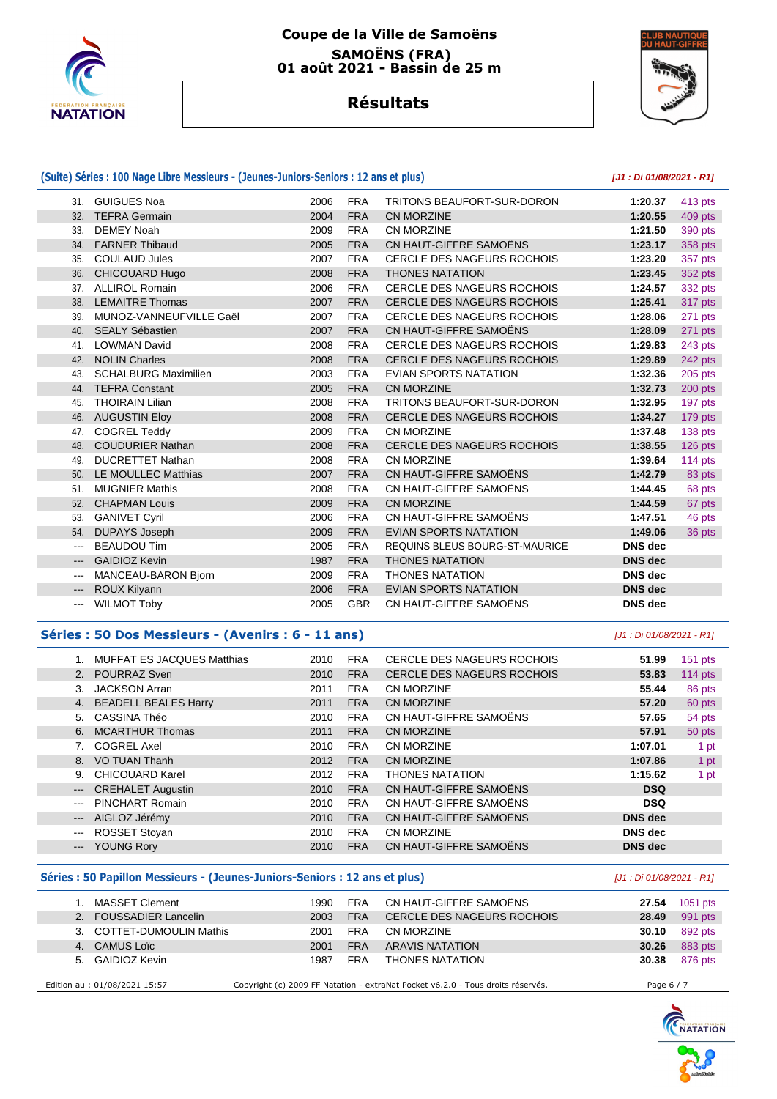

### **Coupe de la Ville de Samoëns SAMOËNS (FRA) 01 août 2021 - Bassin de 25 m**



# **Résultats**

| (Suite) Séries : 100 Nage Libre Messieurs - (Jeunes-Juniors-Seniors : 12 ans et plus) |                             |      |            |                                   |                | [J1: Di 01/08/2021 - R1] |
|---------------------------------------------------------------------------------------|-----------------------------|------|------------|-----------------------------------|----------------|--------------------------|
|                                                                                       | 31. GUIGUES Noa             | 2006 | <b>FRA</b> | <b>TRITONS BEAUFORT-SUR-DORON</b> | 1:20.37        | 413 pts                  |
|                                                                                       | 32. TEFRA Germain           | 2004 | <b>FRA</b> | <b>CN MORZINE</b>                 | 1:20.55        | 409 pts                  |
| 33.                                                                                   | <b>DEMEY Noah</b>           | 2009 | <b>FRA</b> | CN MORZINE                        | 1:21.50        | 390 pts                  |
| 34.                                                                                   | <b>FARNER Thibaud</b>       | 2005 | <b>FRA</b> | CN HAUT-GIFFRE SAMOËNS            | 1:23.17        | 358 pts                  |
| 35.                                                                                   | <b>COULAUD Jules</b>        | 2007 | <b>FRA</b> | <b>CERCLE DES NAGEURS ROCHOIS</b> | 1:23.20        | 357 pts                  |
|                                                                                       | 36. CHICOUARD Hugo          | 2008 | <b>FRA</b> | <b>THONES NATATION</b>            | 1:23.45        | 352 pts                  |
|                                                                                       | 37. ALLIROL Romain          | 2006 | <b>FRA</b> | CERCLE DES NAGEURS ROCHOIS        | 1:24.57        | 332 pts                  |
| 38.                                                                                   | <b>LEMAITRE Thomas</b>      | 2007 | <b>FRA</b> | <b>CERCLE DES NAGEURS ROCHOIS</b> | 1:25.41        | 317 pts                  |
| 39.                                                                                   | MUNOZ-VANNEUFVILLE Gaël     | 2007 | <b>FRA</b> | <b>CERCLE DES NAGEURS ROCHOIS</b> | 1:28.06        | 271 pts                  |
|                                                                                       | 40. SEALY Sébastien         | 2007 | <b>FRA</b> | CN HAUT-GIFFRE SAMOËNS            | 1:28.09        | 271 pts                  |
| 41.                                                                                   | <b>LOWMAN David</b>         | 2008 | <b>FRA</b> | <b>CERCLE DES NAGEURS ROCHOIS</b> | 1:29.83        | 243 pts                  |
| 42.                                                                                   | <b>NOLIN Charles</b>        | 2008 | <b>FRA</b> | <b>CERCLE DES NAGEURS ROCHOIS</b> | 1:29.89        | 242 pts                  |
| 43.                                                                                   | <b>SCHALBURG Maximilien</b> | 2003 | <b>FRA</b> | <b>EVIAN SPORTS NATATION</b>      | 1:32.36        | $205$ pts                |
| 44.                                                                                   | <b>TEFRA Constant</b>       | 2005 | <b>FRA</b> | <b>CN MORZINE</b>                 | 1:32.73        | 200 pts                  |
| 45.                                                                                   | <b>THOIRAIN Lilian</b>      | 2008 | <b>FRA</b> | TRITONS BEAUFORT-SUR-DORON        | 1:32.95        | 197 pts                  |
| 46.                                                                                   | <b>AUGUSTIN Eloy</b>        | 2008 | <b>FRA</b> | <b>CERCLE DES NAGEURS ROCHOIS</b> | 1:34.27        | 179 pts                  |
| 47.                                                                                   | <b>COGREL Teddy</b>         | 2009 | <b>FRA</b> | CN MORZINE                        | 1:37.48        | 138 pts                  |
| 48.                                                                                   | <b>COUDURIER Nathan</b>     | 2008 | <b>FRA</b> | CERCLE DES NAGEURS ROCHOIS        | 1:38.55        | 126 pts                  |
| 49.                                                                                   | <b>DUCRETTET Nathan</b>     | 2008 | <b>FRA</b> | CN MORZINE                        | 1:39.64        | 114 $pts$                |
|                                                                                       | 50. LE MOULLEC Matthias     | 2007 | <b>FRA</b> | CN HAUT-GIFFRE SAMOËNS            | 1:42.79        | 83 pts                   |
| 51.                                                                                   | <b>MUGNIER Mathis</b>       | 2008 | <b>FRA</b> | CN HAUT-GIFFRE SAMOËNS            | 1:44.45        | 68 pts                   |
| 52.                                                                                   | <b>CHAPMAN Louis</b>        | 2009 | <b>FRA</b> | <b>CN MORZINE</b>                 | 1:44.59        | 67 pts                   |
| 53.                                                                                   | <b>GANIVET Cyril</b>        | 2006 | <b>FRA</b> | CN HAUT-GIFFRE SAMOËNS            | 1:47.51        | 46 pts                   |
| 54.                                                                                   | <b>DUPAYS Joseph</b>        | 2009 | <b>FRA</b> | <b>EVIAN SPORTS NATATION</b>      | 1:49.06        | 36 pts                   |
| $\frac{1}{2}$                                                                         | <b>BEAUDOU Tim</b>          | 2005 | <b>FRA</b> | REQUINS BLEUS BOURG-ST-MAURICE    | <b>DNS</b> dec |                          |
| $---$                                                                                 | <b>GAIDIOZ Kevin</b>        | 1987 | <b>FRA</b> | <b>THONES NATATION</b>            | <b>DNS</b> dec |                          |
| $\cdots$                                                                              | MANCEAU-BARON Bjorn         | 2009 | <b>FRA</b> | <b>THONES NATATION</b>            | <b>DNS</b> dec |                          |
| $\hspace{0.05cm} \ldots \hspace{0.05cm}$                                              | ROUX Kilyann                | 2006 | <b>FRA</b> | <b>EVIAN SPORTS NATATION</b>      | <b>DNS</b> dec |                          |
| $\cdots$                                                                              | <b>WILMOT Toby</b>          | 2005 | <b>GBR</b> | CN HAUT-GIFFRE SAMOËNS            | <b>DNS</b> dec |                          |

#### **Séries : 50 Dos Messieurs - (Avenirs : 6 - 11 ans)** [J1 : Di 01/08/2021 - R1]

|                     | MUFFAT ES JACQUES Matthias | 2010 | <b>FRA</b> | CERCLE DES NAGEURS ROCHOIS        | 51.99          | $151$ pts |
|---------------------|----------------------------|------|------------|-----------------------------------|----------------|-----------|
|                     | 2. POURRAZ Sven            | 2010 | <b>FRA</b> | <b>CERCLE DES NAGEURS ROCHOIS</b> | 53.83          | 114 $pts$ |
| 3.                  | JACKSON Arran              | 2011 | <b>FRA</b> | CN MORZINE                        | 55.44          | 86 pts    |
|                     | 4. BEADELL BEALES Harry    | 2011 | <b>FRA</b> | <b>CN MORZINE</b>                 | 57.20          | 60 pts    |
| 5.                  | CASSINA Théo               | 2010 | <b>FRA</b> | CN HAUT-GIFFRE SAMOËNS            | 57.65          | 54 pts    |
| 6.                  | <b>MCARTHUR Thomas</b>     | 2011 | <b>FRA</b> | CN MORZINE                        | 57.91          | 50 pts    |
|                     | <b>COGREL Axel</b>         | 2010 | <b>FRA</b> | CN MORZINE                        | 1:07.01        | 1 pt      |
| 8.                  | VO TUAN Thanh              | 2012 | <b>FRA</b> | CN MORZINE                        | 1:07.86        | 1 pt      |
| 9.                  | CHICOUARD Karel            | 2012 | <b>FRA</b> | <b>THONES NATATION</b>            | 1:15.62        | 1 pt      |
| $\qquad \qquad - -$ | <b>CREHALET Augustin</b>   | 2010 | <b>FRA</b> | CN HAUT-GIFFRE SAMOËNS            | <b>DSQ</b>     |           |
| $\cdots$            | PINCHART Romain            | 2010 | <b>FRA</b> | CN HAUT-GIFFRE SAMOËNS            | <b>DSQ</b>     |           |
| $---$               | AIGLOZ Jérémy              | 2010 | <b>FRA</b> | CN HAUT-GIFFRE SAMOËNS            | <b>DNS</b> dec |           |
| $\qquad \qquad -$   | ROSSET Stoyan              | 2010 | <b>FRA</b> | CN MORZINE                        | <b>DNS</b> dec |           |
| $\qquad \qquad - -$ | <b>YOUNG Rory</b>          | 2010 | <b>FRA</b> | CN HAUT-GIFFRE SAMOËNS            | <b>DNS</b> dec |           |
|                     |                            |      |            |                                   |                |           |

#### **Séries : 50 Papillon Messieurs - (Jeunes-Juniors-Seniors : 12 ans et plus)**  $[J1 : Di 01/08/2021 - R1]$

| MASSET Clement                | 1990 | <b>FRA</b> | CN HAUT-GIFFRE SAMOËNS                                                          | 27.54      | 1051 pts |
|-------------------------------|------|------------|---------------------------------------------------------------------------------|------------|----------|
| 2. FOUSSADIER Lancelin        | 2003 | <b>FRA</b> | CERCLE DES NAGEURS ROCHOIS                                                      | 28.49      | 991 pts  |
| 3. COTTET-DUMOULIN Mathis     | 2001 | <b>FRA</b> | CN MORZINE                                                                      | 30.10      | 892 pts  |
| 4. CAMUS Loïc                 | 2001 | <b>FRA</b> | ARAVIS NATATION                                                                 | 30.26      | 883 pts  |
| 5. GAIDIOZ Kevin              | 1987 | <b>FRA</b> | <b>THONES NATATION</b>                                                          | 30.38      | 876 pts  |
|                               |      |            |                                                                                 |            |          |
| Edition au : 01/08/2021 15:57 |      |            | Copyright (c) 2009 FF Natation - extraNat Pocket v6.2.0 - Tous droits réservés. | Page 6 / 7 |          |